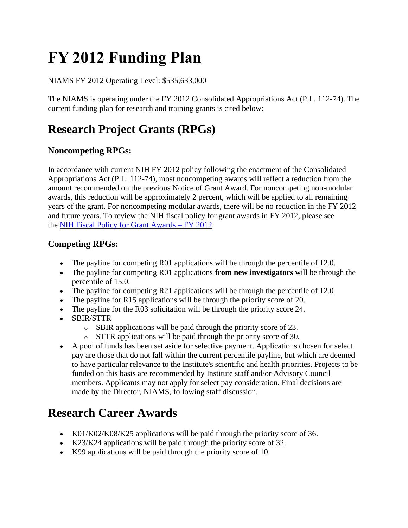# **FY 2012 Funding Plan**

NIAMS FY 2012 Operating Level: \$535,633,000

The NIAMS is operating under the FY 2012 Consolidated Appropriations Act (P.L. 112-74). The current funding plan for research and training grants is cited below:

### **Research Project Grants (RPGs)**

#### **Noncompeting RPGs:**

In accordance with current NIH FY 2012 policy following the enactment of the Consolidated Appropriations Act (P.L. 112-74), most noncompeting awards will reflect a reduction from the amount recommended on the previous Notice of Grant Award. For noncompeting non-modular awards, this reduction will be approximately 2 percent, which will be applied to all remaining years of the grant. For noncompeting modular awards, there will be no reduction in the FY 2012 and future years. To review the NIH fiscal policy for grant awards in FY 2012, please see the [NIH Fiscal Policy for Grant Awards –](https://grants.nih.gov/grants/guide/notice-files/NOT-OD-12-036.html) FY 2012.

#### **Competing RPGs:**

- The payline for competing R01 applications will be through the percentile of 12.0.
- The payline for competing R01 applications **from new investigators** will be through the percentile of 15.0.
- The payline for competing R21 applications will be through the percentile of 12.0
- The payline for R15 applications will be through the priority score of 20.
- The payline for the R03 solicitation will be through the priority score 24.
- SBIR/STTR
	- o SBIR applications will be paid through the priority score of 23.
	- o STTR applications will be paid through the priority score of 30.
- A pool of funds has been set aside for selective payment. Applications chosen for select pay are those that do not fall within the current percentile payline, but which are deemed to have particular relevance to the Institute's scientific and health priorities. Projects to be funded on this basis are recommended by Institute staff and/or Advisory Council members. Applicants may not apply for select pay consideration. Final decisions are made by the Director, NIAMS, following staff discussion.

### **Research Career Awards**

- K01/K02/K08/K25 applications will be paid through the priority score of 36.
- K23/K24 applications will be paid through the priority score of 32.
- K99 applications will be paid through the priority score of 10.